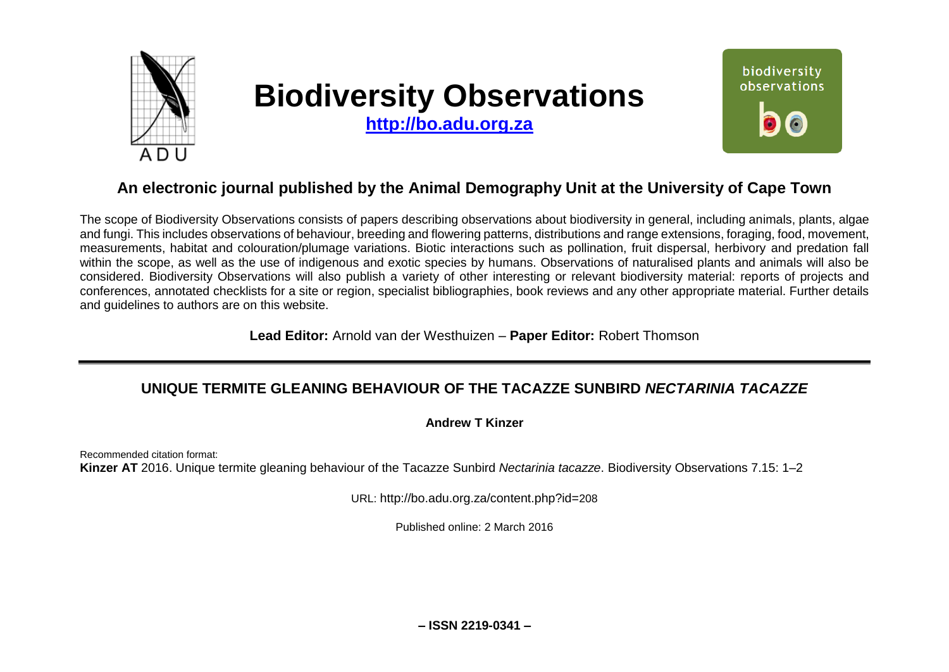

# **Biodiversity Observations**

**[http://bo.adu.org.za](http://bo.adu.org.za/)**



## **An electronic journal published by the Animal Demography Unit at the University of Cape Town**

The scope of Biodiversity Observations consists of papers describing observations about biodiversity in general, including animals, plants, algae and fungi. This includes observations of behaviour, breeding and flowering patterns, distributions and range extensions, foraging, food, movement, measurements, habitat and colouration/plumage variations. Biotic interactions such as pollination, fruit dispersal, herbivory and predation fall within the scope, as well as the use of indigenous and exotic species by humans. Observations of naturalised plants and animals will also be considered. Biodiversity Observations will also publish a variety of other interesting or relevant biodiversity material: reports of projects and conferences, annotated checklists for a site or region, specialist bibliographies, book reviews and any other appropriate material. Further details and guidelines to authors are on this website.

**Lead Editor:** Arnold van der Westhuizen – **Paper Editor:** Robert Thomson

## **UNIQUE TERMITE GLEANING BEHAVIOUR OF THE TACAZZE SUNBIRD** *NECTARINIA TACAZZE*

#### **Andrew T Kinzer**

Recommended citation format: **Kinzer AT** 2016. Unique termite gleaning behaviour of the Tacazze Sunbird *Nectarinia tacazze*. Biodiversity Observations 7.15: 1–2

URL: http://bo.adu.org.za/content.php?id=208

Published online: 2 March 2016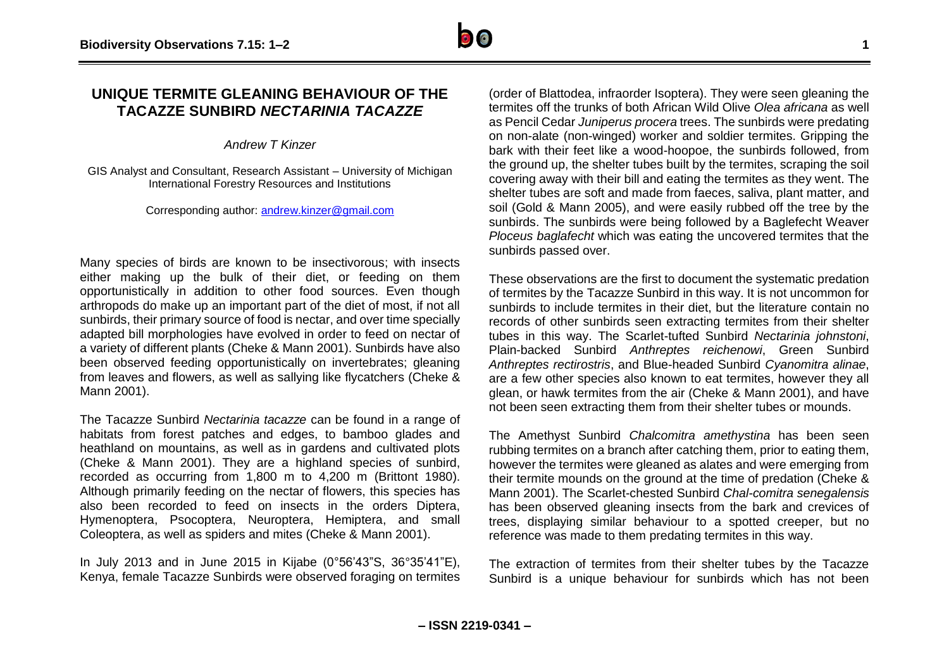### **UNIQUE TERMITE GLEANING BEHAVIOUR OF THE TACAZZE SUNBIRD** *NECTARINIA TACAZZE*

*Andrew T Kinzer* 

GIS Analyst and Consultant, Research Assistant – University of Michigan International Forestry Resources and Institutions

Corresponding author: [andrew.kinzer@gmail.com](mailto:andrew.kinzer@gmail.com)

Many species of birds are known to be insectivorous; with insects either making up the bulk of their diet, or feeding on them opportunistically in addition to other food sources. Even though arthropods do make up an important part of the diet of most, if not all sunbirds, their primary source of food is nectar, and over time specially adapted bill morphologies have evolved in order to feed on nectar of a variety of different plants (Cheke & Mann 2001). Sunbirds have also been observed feeding opportunistically on invertebrates; gleaning from leaves and flowers, as well as sallying like flycatchers (Cheke & Mann 2001).

The Tacazze Sunbird *Nectarinia tacazze* can be found in a range of habitats from forest patches and edges, to bamboo glades and heathland on mountains, as well as in gardens and cultivated plots (Cheke & Mann 2001). They are a highland species of sunbird, recorded as occurring from 1,800 m to 4,200 m (Brittont 1980). Although primarily feeding on the nectar of flowers, this species has also been recorded to feed on insects in the orders Diptera, Hymenoptera, Psocoptera, Neuroptera, Hemiptera, and small Coleoptera, as well as spiders and mites (Cheke & Mann 2001).

In July 2013 and in June 2015 in Kijabe (0°56'43"S, 36°35'41"E), Kenya, female Tacazze Sunbirds were observed foraging on termites

(order of Blattodea, infraorder Isoptera). They were seen gleaning the termites off the trunks of both African Wild Olive *Olea africana* as well as Pencil Cedar *Juniperus procera* trees. The sunbirds were predating on non-alate (non-winged) worker and soldier termites. Gripping the bark with their feet like a wood-hoopoe, the sunbirds followed, from the ground up, the shelter tubes built by the termites, scraping the soil covering away with their bill and eating the termites as they went. The shelter tubes are soft and made from faeces, saliva, plant matter, and soil (Gold & Mann 2005), and were easily rubbed off the tree by the sunbirds. The sunbirds were being followed by a Baglefecht Weaver *Ploceus baglafecht* which was eating the uncovered termites that the sunbirds passed over.

These observations are the first to document the systematic predation of termites by the Tacazze Sunbird in this way. It is not uncommon for sunbirds to include termites in their diet, but the literature contain no records of other sunbirds seen extracting termites from their shelter tubes in this way. The Scarlet-tufted Sunbird *Nectarinia johnstoni*, Plain-backed Sunbird *Anthreptes reichenowi*, Green Sunbird *Anthreptes rectirostris*, and Blue-headed Sunbird *Cyanomitra alinae*, are a few other species also known to eat termites, however they all glean, or hawk termites from the air (Cheke & Mann 2001), and have not been seen extracting them from their shelter tubes or mounds.

The Amethyst Sunbird *Chalcomitra amethystina* has been seen rubbing termites on a branch after catching them, prior to eating them, however the termites were gleaned as alates and were emerging from their termite mounds on the ground at the time of predation (Cheke & Mann 2001). The Scarlet-chested Sunbird *Chal-comitra senegalensis* has been observed gleaning insects from the bark and crevices of trees, displaying similar behaviour to a spotted creeper, but no reference was made to them predating termites in this way.

The extraction of termites from their shelter tubes by the Tacazze Sunbird is a unique behaviour for sunbirds which has not been